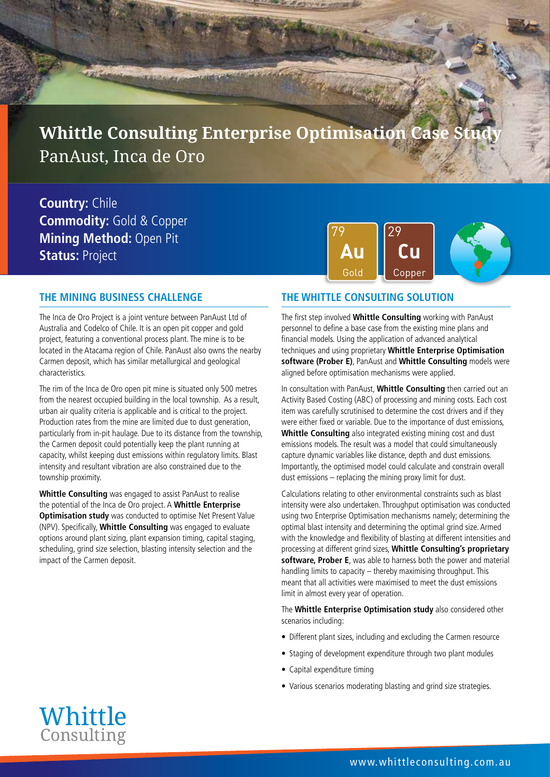**Whittle Consulting Enterprise Optimisation Case Stra** PanAust, Inca de Oro

**Country:** Chile **Commodity:** Gold & Copper **Mining Method:** Open Pit **Status:** Project



### **THE MINING BUSINESS CHALLENGE**

The Inca de Oro Project is a joint venture between PanAust Ltd of Australia and Codelco of Chile. It is an open pit copper and gold project, featuring a conventional process plant. The mine is to be located in the Atacama region of Chile. PanAust also owns the nearby Carmen deposit, which has similar metallurgical and geological characteristics.

The rim of the Inca de Oro open pit mine is situated only 500 metres from the nearest occupied building in the local township. As a result, urban air quality criteria is applicable and is critical to the project. Production rates from the mine are limited due to dust generation, particularly from in-pit haulage. Due to its distance from the township, the Carmen deposit could potentially keep the plant running at capacity, whilst keeping dust emissions within regulatory limits. Blast intensity and resultant vibration are also constrained due to the township proximity.

**Whittle Consulting** was engaged to assist PanAust to realise the potential of the Inca de Oro project. A **Whittle Enterprise Optimisation study** was conducted to optimise Net Present Value (NPV). Specifically, **Whittle Consulting** was engaged to evaluate options around plant sizing, plant expansion timing, capital staging, scheduling, grind size selection, blasting intensity selection and the impact of the Carmen deposit.

#### **THE WHITTLE CONSULTING SOLUTION**

The first step involved **Whittle Consulting** working with PanAust personnel to define a base case from the existing mine plans and financial models. Using the application of advanced analytical techniques and using proprietary **Whittle Enterprise Optimisation software (Prober E)**, PanAust and **Whittle Consulting** models were aligned before optimisation mechanisms were applied.

In consultation with PanAust, **Whittle Consulting** then carried out an Activity Based Costing (ABC) of processing and mining costs. Each cost item was carefully scrutinised to determine the cost drivers and if they were either fixed or variable. Due to the importance of dust emissions, **Whittle Consulting** also integrated existing mining cost and dust emissions models. The result was a model that could simultaneously capture dynamic variables like distance, depth and dust emissions. Importantly, the optimised model could calculate and constrain overall dust emissions – replacing the mining proxy limit for dust.

Calculations relating to other environmental constraints such as blast intensity were also undertaken. Throughput optimisation was conducted using two Enterprise Optimisation mechanisms namely; determining the optimal blast intensity and determining the optimal grind size. Armed with the knowledge and flexibility of blasting at different intensities and processing at different grind sizes, **Whittle Consulting's proprietary software, Prober E**, was able to harness both the power and material handling limits to capacity – thereby maximising throughput. This meant that all activities were maximised to meet the dust emissions limit in almost every year of operation.

The **Whittle Enterprise Optimisation study** also considered other scenarios including:

- Different plant sizes, including and excluding the Carmen resource
- Staging of development expenditure through two plant modules
- Capital expenditure timing
- Various scenarios moderating blasting and grind size strategies.